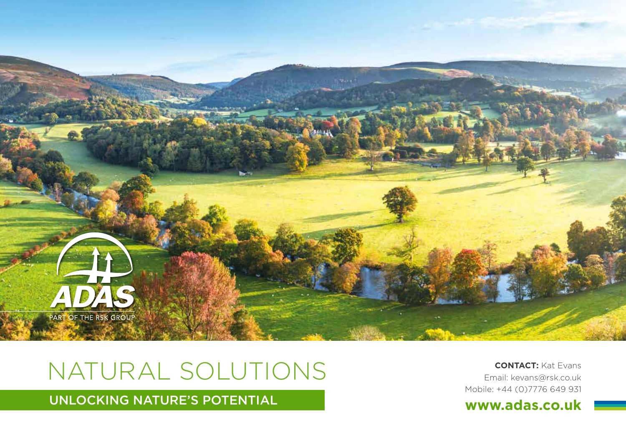

# NATURAL SOLUTIONS **CONTACT:** Kat Evans

Email: kevans@rsk.co.uk Mobile: +44 (0)7776 649 931

**WINDOCKING NATURE'S POTENTIAL WWW.adas.co.uk**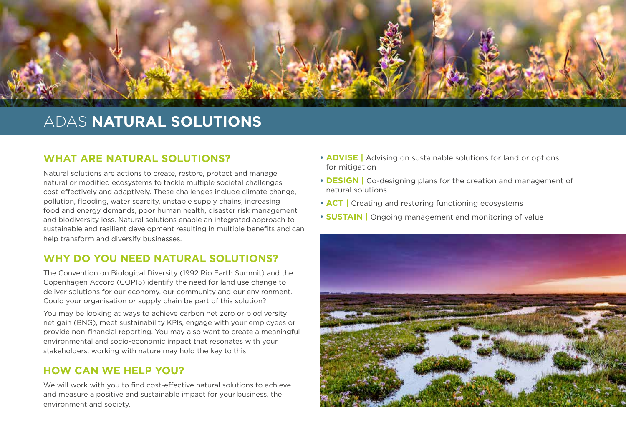

### ADAS **NATURAL SOLUTIONS**

#### **WHAT ARE NATURAL SOLUTIONS?**

Natural solutions are actions to create, restore, protect and manage natural or modified ecosystems to tackle multiple societal challenges cost-effectively and adaptively. These challenges include climate change, pollution, flooding, water scarcity, unstable supply chains, increasing food and energy demands, poor human health, disaster risk management and biodiversity loss. Natural solutions enable an integrated approach to sustainable and resilient development resulting in multiple benefits and can help transform and diversify businesses.

#### **WHY DO YOU NEED NATURAL SOLUTIONS?**

The Convention on Biological Diversity (1992 Rio Earth Summit) and the Copenhagen Accord (COP15) identify the need for land use change to deliver solutions for our economy, our community and our environment. Could your organisation or supply chain be part of this solution?

You may be looking at ways to achieve carbon net zero or biodiversity net gain (BNG), meet sustainability KPIs, engage with your employees or provide non-financial reporting. You may also want to create a meaningful environmental and socio-economic impact that resonates with your stakeholders; working with nature may hold the key to this.

#### **HOW CAN WE HELP YOU?**

We will work with you to find cost-effective natural solutions to achieve and measure a positive and sustainable impact for your business, the environment and society.

- **• ADVISE |** Advising on sustainable solutions for land or options for mitigation
- **• DESIGN |** Co-designing plans for the creation and management of natural solutions
- **• ACT |** Creating and restoring functioning ecosystems
- **• SUSTAIN |** Ongoing management and monitoring of value

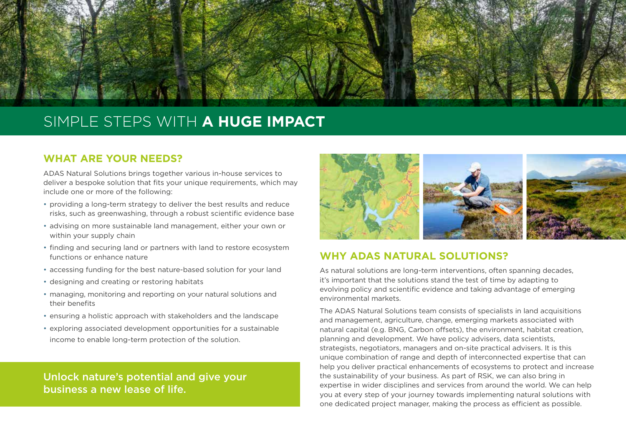

## SIMPLE STEPS WITH **A HUGE IMPACT**

#### **WHAT ARE YOUR NEEDS?**

ADAS Natural Solutions brings together various in-house services to deliver a bespoke solution that fits your unique requirements, which may include one or more of the following:

- providing a long-term strategy to deliver the best results and reduce risks, such as greenwashing, through a robust scientific evidence base
- advising on more sustainable land management, either your own or within your supply chain
- finding and securing land or partners with land to restore ecosystem functions or enhance nature
- accessing funding for the best nature-based solution for your land
- designing and creating or restoring habitats
- managing, monitoring and reporting on your natural solutions and their benefits
- ensuring a holistic approach with stakeholders and the landscape
- exploring associated development opportunities for a sustainable income to enable long-term protection of the solution.

Unlock nature's potential and give your business a new lease of life.



#### **WHY ADAS NATURAL SOLUTIONS?**

As natural solutions are long-term interventions, often spanning decades, it's important that the solutions stand the test of time by adapting to evolving policy and scientific evidence and taking advantage of emerging environmental markets.

The ADAS Natural Solutions team consists of specialists in land acquisitions and management, agriculture, change, emerging markets associated with natural capital (e.g. BNG, Carbon offsets), the environment, habitat creation, planning and development. We have policy advisers, data scientists, strategists, negotiators, managers and on-site practical advisers. It is this unique combination of range and depth of interconnected expertise that can help you deliver practical enhancements of ecosystems to protect and increase the sustainability of your business. As part of RSK, we can also bring in expertise in wider disciplines and services from around the world. We can help you at every step of your journey towards implementing natural solutions with one dedicated project manager, making the process as efficient as possible.